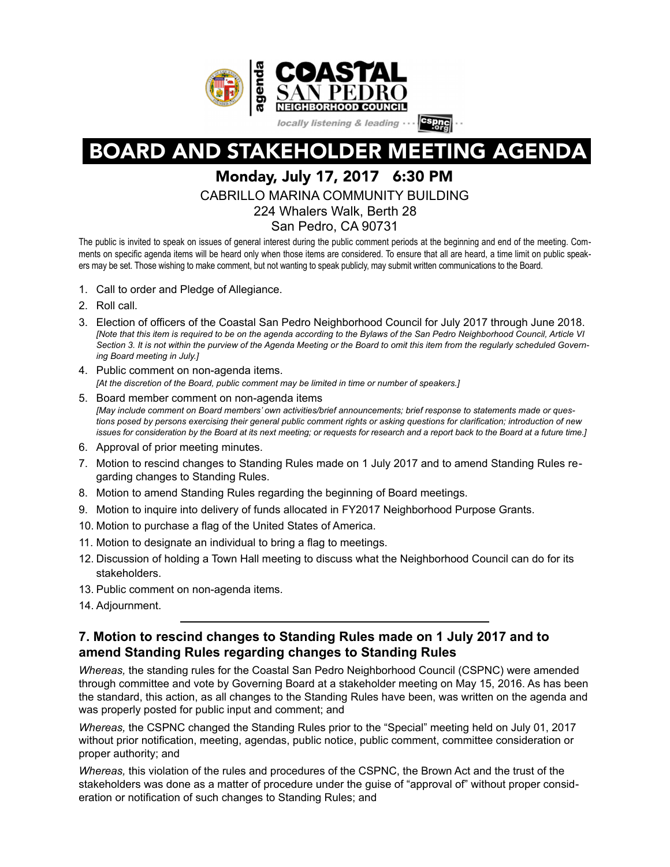

BOARD AND STAKEHOLDER MEETING AGENDA

# Monday, July 17, 2017 6:30 PM

CABRILLO MARINA COMMUNITY BUILDING

224 Whalers Walk, Berth 28

San Pedro, CA 90731

The public is invited to speak on issues of general interest during the public comment periods at the beginning and end of the meeting. Comments on specific agenda items will be heard only when those items are considered. To ensure that all are heard, a time limit on public speakers may be set. Those wishing to make comment, but not wanting to speak publicly, may submit written communications to the Board.

- 1. Call to order and Pledge of Allegiance.
- 2. Roll call.
- 3. Election of officers of the Coastal San Pedro Neighborhood Council for July 2017 through June 2018. *[Note that this item is required to be on the agenda according to the Bylaws of the San Pedro Neighborhood Council, Article VI Section 3. It is not within the purview of the Agenda Meeting or the Board to omit this item from the regularly scheduled Governing Board meeting in July.]*
- 4. Public comment on non-agenda items. *[At the discretion of the Board, public comment may be limited in time or number of speakers.]*
- 5. Board member comment on non-agenda items *[May include comment on Board members' own activities/brief announcements; brief response to statements made or questions posed by persons exercising their general public comment rights or asking questions for clarification; introduction of new issues for consideration by the Board at its next meeting; or requests for research and a report back to the Board at a future time.]*
- 6. Approval of prior meeting minutes.
- 7. Motion to rescind changes to Standing Rules made on 1 July 2017 and to amend Standing Rules regarding changes to Standing Rules.
- 8. Motion to amend Standing Rules regarding the beginning of Board meetings.
- 9. Motion to inquire into delivery of funds allocated in FY2017 Neighborhood Purpose Grants.
- 10. Motion to purchase a flag of the United States of America.
- 11. Motion to designate an individual to bring a flag to meetings.
- 12. Discussion of holding a Town Hall meeting to discuss what the Neighborhood Council can do for its stakeholders.
- 13. Public comment on non-agenda items.
- 14. Adjournment.

# **7. Motion to rescind changes to Standing Rules made on 1 July 2017 and to amend Standing Rules regarding changes to Standing Rules**

*Whereas,* the standing rules for the Coastal San Pedro Neighborhood Council (CSPNC) were amended through committee and vote by Governing Board at a stakeholder meeting on May 15, 2016. As has been the standard, this action, as all changes to the Standing Rules have been, was written on the agenda and was properly posted for public input and comment; and

*Whereas,* the CSPNC changed the Standing Rules prior to the "Special" meeting held on July 01, 2017 without prior notification, meeting, agendas, public notice, public comment, committee consideration or proper authority; and

*Whereas,* this violation of the rules and procedures of the CSPNC, the Brown Act and the trust of the stakeholders was done as a matter of procedure under the guise of "approval of" without proper consideration or notification of such changes to Standing Rules; and